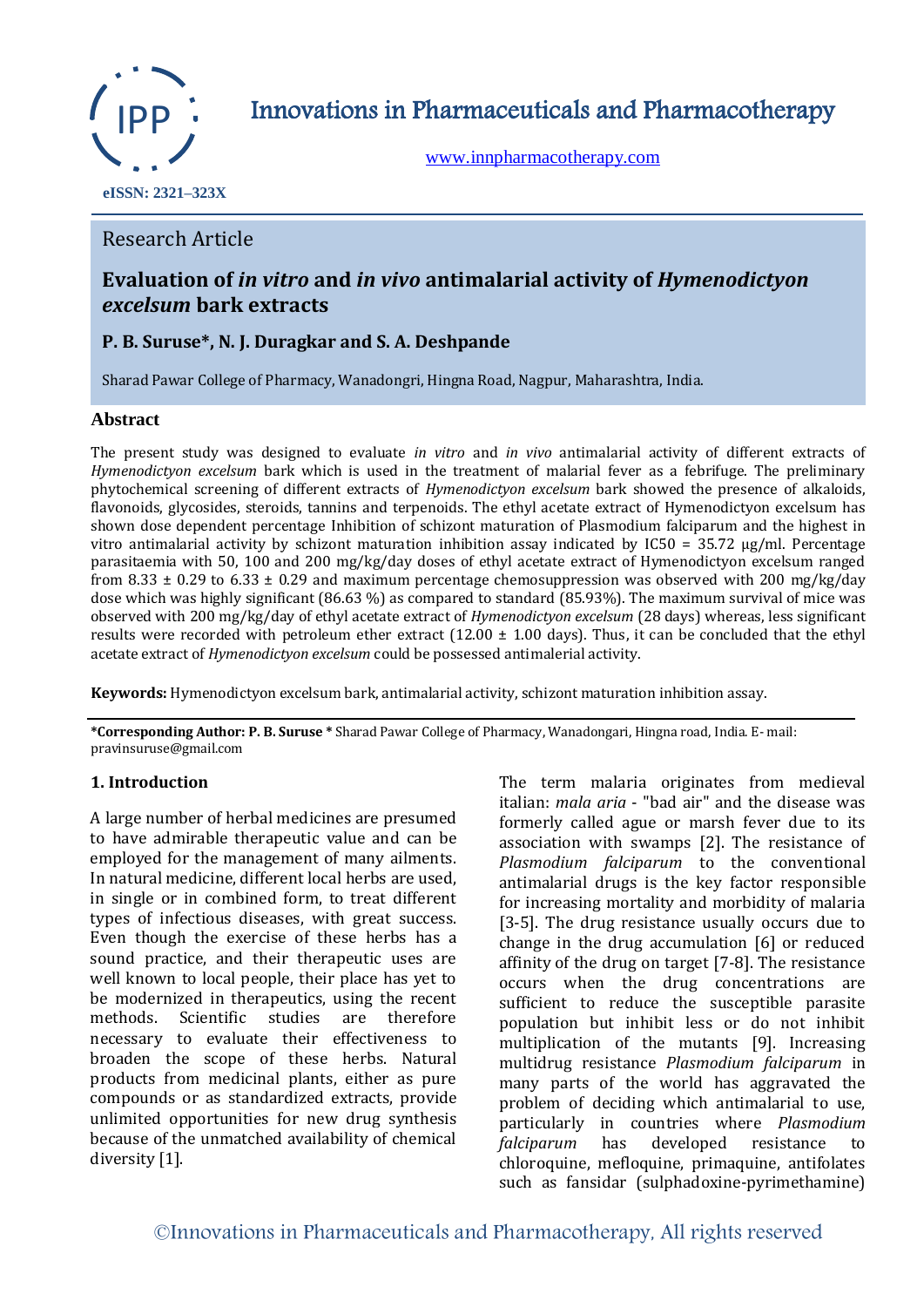

Innovations in Pharmaceuticals and Pharmacotherapy

[www.innpharmacotherapy.com](http://www.innpharmacotherapy.com/)

 **eISSN: 2321–323X**

# Research Article

# **Evaluation of** *in vitro* **and** *in vivo* **antimalarial activity of** *Hymenodictyon excelsum* **bark extracts**

# **P. B. Suruse\*, N. J. Duragkar and S. A. Deshpande**

Sharad Pawar College of Pharmacy, Wanadongri, Hingna Road, Nagpur, Maharashtra, India.

# **Abstract**

The present study was designed to evaluate *in vitro* and *in vivo* antimalarial activity of different extracts of *Hymenodictyon excelsum* bark which is used in the treatment of malarial fever as a febrifuge. The preliminary phytochemical screening of different extracts of *Hymenodictyon excelsum* bark showed the presence of alkaloids, flavonoids, glycosides, steroids, tannins and terpenoids. The ethyl acetate extract of Hymenodictyon excelsum has shown dose dependent percentage Inhibition of schizont maturation of Plasmodium falciparum and the highest in vitro antimalarial activity by schizont maturation inhibition assay indicated by  $IC50 = 35.72 \mu g/ml$ . Percentage parasitaemia with 50, 100 and 200 mg/kg/day doses of ethyl acetate extract of Hymenodictyon excelsum ranged from 8.33  $\pm$  0.29 to 6.33  $\pm$  0.29 and maximum percentage chemosuppression was observed with 200 mg/kg/day dose which was highly significant (86.63 %) as compared to standard (85.93%). The maximum survival of mice was observed with 200 mg/kg/day of ethyl acetate extract of *Hymenodictyon excelsum* (28 days) whereas, less significant results were recorded with petroleum ether extract (12.00  $\pm$  1.00 days). Thus, it can be concluded that the ethyl acetate extract of *Hymenodictyon excelsum* could be possessed antimalerial activity.

**Keywords:** Hymenodictyon excelsum bark, antimalarial activity, schizont maturation inhibition assay.

**\*Corresponding Author: P. B. Suruse \*** Sharad Pawar College of Pharmacy, Wanadongari, Hingna road, India. E- mail: pravinsuruse@gmail.com

### **1. Introduction**

A large number of herbal medicines are presumed to have admirable therapeutic value and can be employed for the management of many ailments. In natural medicine, different local herbs are used, in single or in combined form, to treat different types of infectious diseases, with great success. Even though the exercise of these herbs has a sound practice, and their therapeutic uses are well known to local people, their place has yet to be modernized in therapeutics, using the recent methods. Scientific studies are therefore necessary to evaluate their effectiveness to broaden the scope of these herbs. Natural products from medicinal plants, either as pure compounds or as standardized extracts, provide unlimited opportunities for new drug synthesis because of the unmatched availability of chemical diversity [1].

The term malaria originates from medieval italian: *mala aria* - "bad air" and the disease was formerly called ague or marsh fever due to its association with swamps [2]. The resistance of *Plasmodium falciparum* to the conventional antimalarial drugs is the key factor responsible for increasing mortality and morbidity of malaria [3-5]. The drug resistance usually occurs due to change in the drug accumulation [6] or reduced affinity of the drug on target [7-8]. The resistance occurs when the drug concentrations are sufficient to reduce the susceptible parasite population but inhibit less or do not inhibit multiplication of the mutants [9]. Increasing multidrug resistance *Plasmodium falciparum* in many parts of the world has aggravated the problem of deciding which antimalarial to use, particularly in countries where *Plasmodium falciparum* has developed resistance to chloroquine, mefloquine, primaquine, antifolates such as fansidar (sulphadoxine-pyrimethamine)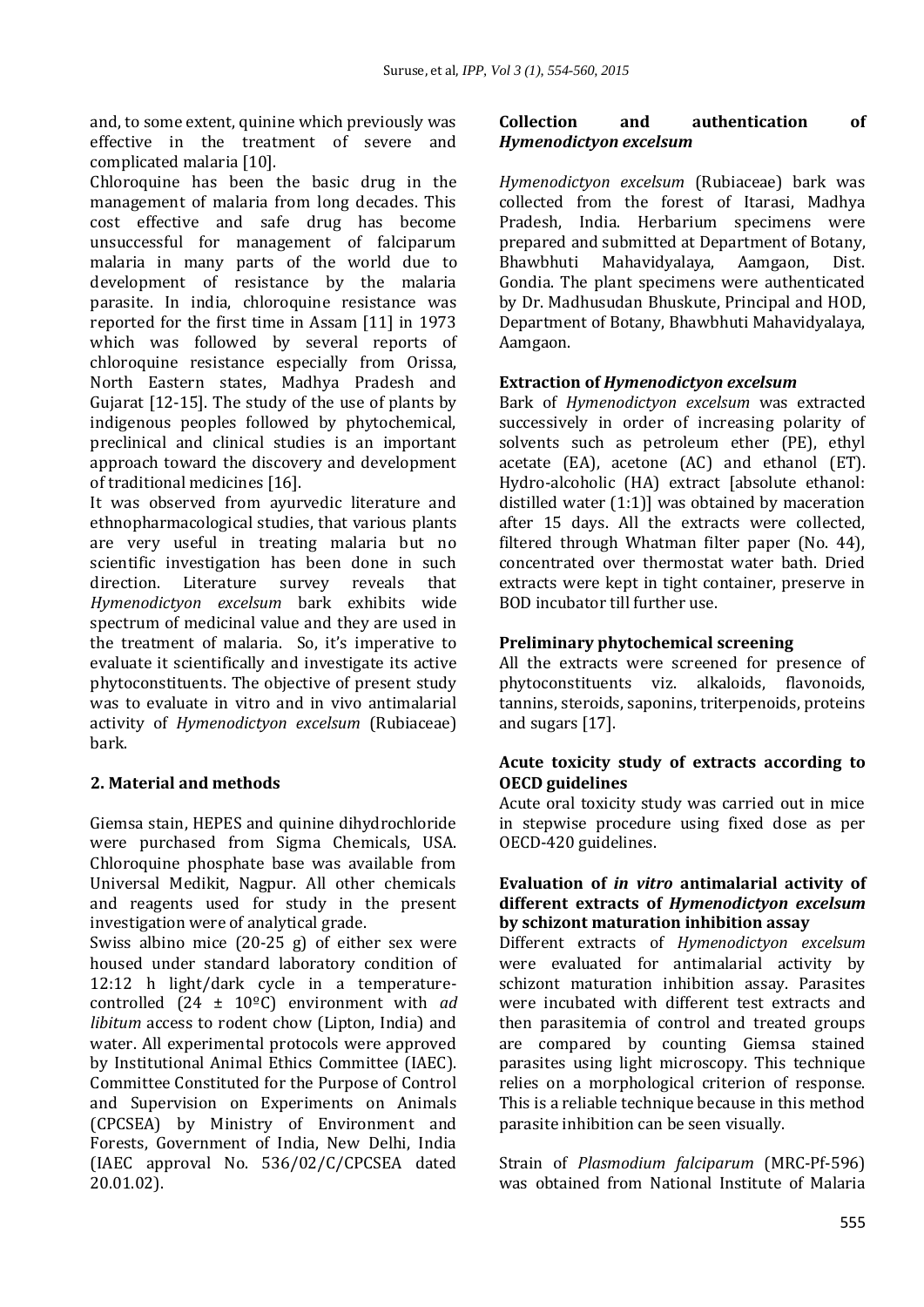and, to some extent, quinine which previously was effective in the treatment of severe and complicated malaria [10].

Chloroquine has been the basic drug in the management of malaria from long decades. This cost effective and safe drug has become unsuccessful for management of falciparum malaria in many parts of the world due to development of resistance by the malaria parasite. In india, chloroquine resistance was reported for the first time in Assam [11] in 1973 which was followed by several reports of chloroquine resistance especially from Orissa, North Eastern states, Madhya Pradesh and Gujarat [12-15]. The study of the use of plants by indigenous peoples followed by phytochemical, preclinical and clinical studies is an important approach toward the discovery and development of traditional medicines [16].

It was observed from ayurvedic literature and ethnopharmacological studies, that various plants are very useful in treating malaria but no scientific investigation has been done in such direction. Literature survey reveals that *Hymenodictyon excelsum* bark exhibits wide spectrum of medicinal value and they are used in the treatment of malaria. So, it's imperative to evaluate it scientifically and investigate its active phytoconstituents. The objective of present study was to evaluate in vitro and in vivo antimalarial activity of *Hymenodictyon excelsum* (Rubiaceae) bark.

# **2. Material and methods**

Giemsa stain, HEPES and quinine dihydrochloride were purchased from Sigma Chemicals, USA. Chloroquine phosphate base was available from Universal Medikit, Nagpur. All other chemicals and reagents used for study in the present investigation were of analytical grade.

Swiss albino mice (20-25 g) of either sex were housed under standard laboratory condition of 12:12 h light/dark cycle in a temperaturecontrolled (24 ± 10ºC) environment with *ad libitum* access to rodent chow (Lipton, India) and water. All experimental protocols were approved by Institutional Animal Ethics Committee (IAEC). Committee Constituted for the Purpose of Control and Supervision on Experiments on Animals (CPCSEA) by Ministry of Environment and Forests, Government of India, New Delhi, India (IAEC approval No. 536/02/C/CPCSEA dated 20.01.02).

# **Collection and authentication of**  *Hymenodictyon excelsum*

*Hymenodictyon excelsum* (Rubiaceae) bark was collected from the forest of Itarasi, Madhya Pradesh, India. Herbarium specimens were prepared and submitted at Department of Botany, Bhawbhuti Mahavidyalaya, Aamgaon, Dist. Gondia. The plant specimens were authenticated by Dr. Madhusudan Bhuskute, Principal and HOD, Department of Botany, Bhawbhuti Mahavidyalaya, Aamgaon.

# **Extraction of** *Hymenodictyon excelsum*

Bark of *Hymenodictyon excelsum* was extracted successively in order of increasing polarity of solvents such as petroleum ether (PE), ethyl acetate (EA), acetone (AC) and ethanol (ET). Hydro-alcoholic (HA) extract [absolute ethanol: distilled water (1:1)] was obtained by maceration after 15 days. All the extracts were collected, filtered through Whatman filter paper (No. 44), concentrated over thermostat water bath. Dried extracts were kept in tight container, preserve in BOD incubator till further use.

# **Preliminary phytochemical screening**

All the extracts were screened for presence of phytoconstituents viz. alkaloids, flavonoids, tannins, steroids, saponins, triterpenoids, proteins and sugars [17].

# **Acute toxicity study of extracts according to OECD guidelines**

Acute oral toxicity study was carried out in mice in stepwise procedure using fixed dose as per OECD-420 guidelines.

### **Evaluation of** *in vitro* **antimalarial activity of different extracts of** *Hymenodictyon excelsum* **by schizont maturation inhibition assay**

Different extracts of *Hymenodictyon excelsum* were evaluated for antimalarial activity by schizont maturation inhibition assay. Parasites were incubated with different test extracts and then parasitemia of control and treated groups are compared by counting Giemsa stained parasites using light microscopy. This technique relies on a morphological criterion of response. This is a reliable technique because in this method parasite inhibition can be seen visually.

Strain of *Plasmodium falciparum* (MRC-Pf-596) was obtained from National Institute of Malaria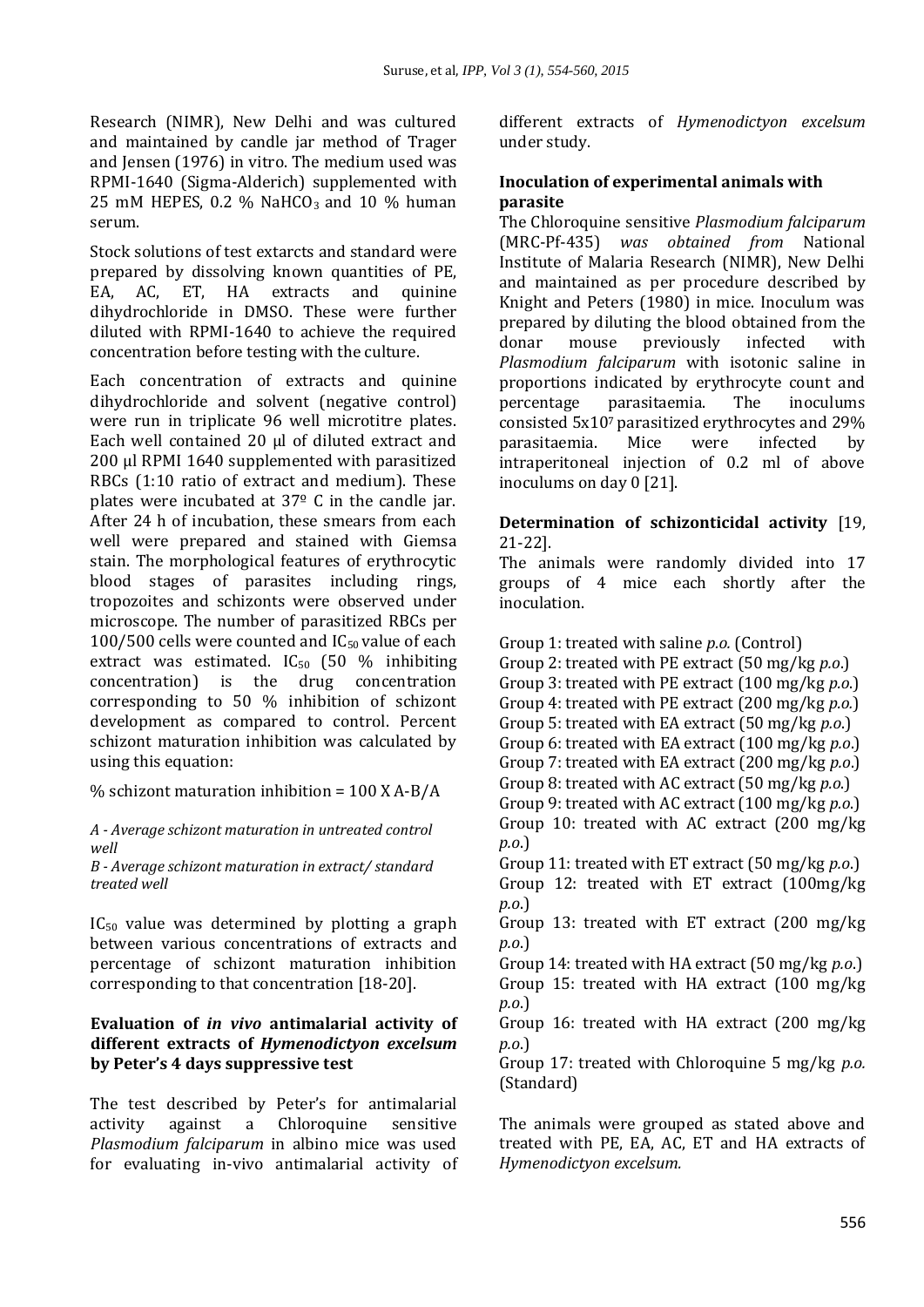Research (NIMR), New Delhi and was cultured and maintained by candle jar method of Trager and Jensen (1976) in vitro. The medium used was RPMI-1640 (Sigma-Alderich) supplemented with 25 mM HEPES, 0.2 % NaHCO<sub>3</sub> and 10 % human serum.

Stock solutions of test extarcts and standard were prepared by dissolving known quantities of PE, EA, AC, ET, HA extracts and quinine dihydrochloride in DMSO. These were further diluted with RPMI-1640 to achieve the required concentration before testing with the culture.

Each concentration of extracts and quinine dihydrochloride and solvent (negative control) were run in triplicate 96 well microtitre plates. Each well contained 20 µl of diluted extract and 200 ul RPMI 1640 supplemented with parasitized RBCs (1:10 ratio of extract and medium). These plates were incubated at 37º C in the candle jar. After 24 h of incubation, these smears from each well were prepared and stained with Giemsa stain. The morphological features of erythrocytic blood stages of parasites including rings, tropozoites and schizonts were observed under microscope. The number of parasitized RBCs per 100/500 cells were counted and  $IC_{50}$  value of each extract was estimated.  $IC_{50}$  (50 % inhibiting concentration) is the drug concentration corresponding to 50 % inhibition of schizont development as compared to control. Percent schizont maturation inhibition was calculated by using this equation:

% schizont maturation inhibition =  $100$  X A-B/A

### *A - Average schizont maturation in untreated control well*

*B - Average schizont maturation in extract/ standard treated well*

 $IC_{50}$  value was determined by plotting a graph between various concentrations of extracts and percentage of schizont maturation inhibition corresponding to that concentration [18-20].

# **Evaluation of** *in vivo* **antimalarial activity of different extracts of** *Hymenodictyon excelsum* **by Peter's 4 days suppressive test**

The test described by Peter's for antimalarial activity against a Chloroquine sensitive *Plasmodium falciparum* in albino mice was used for evaluating in-vivo antimalarial activity of different extracts of *Hymenodictyon excelsum* under study.

# **Inoculation of experimental animals with parasite**

The Chloroquine sensitive *Plasmodium falciparum*  (MRC-Pf-435) *was obtained from* National Institute of Malaria Research (NIMR), New Delhi and maintained as per procedure described by Knight and Peters (1980) in mice. Inoculum was prepared by diluting the blood obtained from the donar mouse previously infected with *Plasmodium falciparum* with isotonic saline in proportions indicated by erythrocyte count and percentage parasitaemia. The inoculums consisted 5x107 parasitized erythrocytes and 29% parasitaemia. Mice were infected by intraperitoneal injection of 0.2 ml of above inoculums on day 0 [21].

# **Determination of schizonticidal activity** [19, 21-22].

The animals were randomly divided into 17 groups of 4 mice each shortly after the inoculation.

Group 1: treated with saline *p.o.* (Control) Group 2: treated with PE extract (50 mg/kg *p.o*.) Group 3: treated with PE extract (100 mg/kg *p.o*.) Group 4: treated with PE extract (200 mg/kg *p.o.*) Group 5: treated with EA extract (50 mg/kg *p.o*.) Group 6: treated with EA extract (100 mg/kg *p.o*.) Group 7: treated with EA extract (200 mg/kg *p.o*.) Group 8: treated with AC extract (50 mg/kg *p.o*.) Group 9: treated with AC extract (100 mg/kg *p.o*.) Group 10: treated with AC extract (200 mg/kg *p.o*.) Group 11: treated with ET extract (50 mg/kg *p.o*.) Group 12: treated with ET extract (100mg/kg *p.o*.) Group 13: treated with ET extract (200 mg/kg *p.o*.) Group 14: treated with HA extract (50 mg/kg *p.o*.) Group 15: treated with HA extract (100 mg/kg *p.o*.) Group 16: treated with HA extract (200 mg/kg *p.o*.) Group 17: treated with Chloroquine 5 mg/kg *p.o.* (Standard) The animals were grouped as stated above and treated with PE, EA, AC, ET and HA extracts of

*Hymenodictyon excelsum.*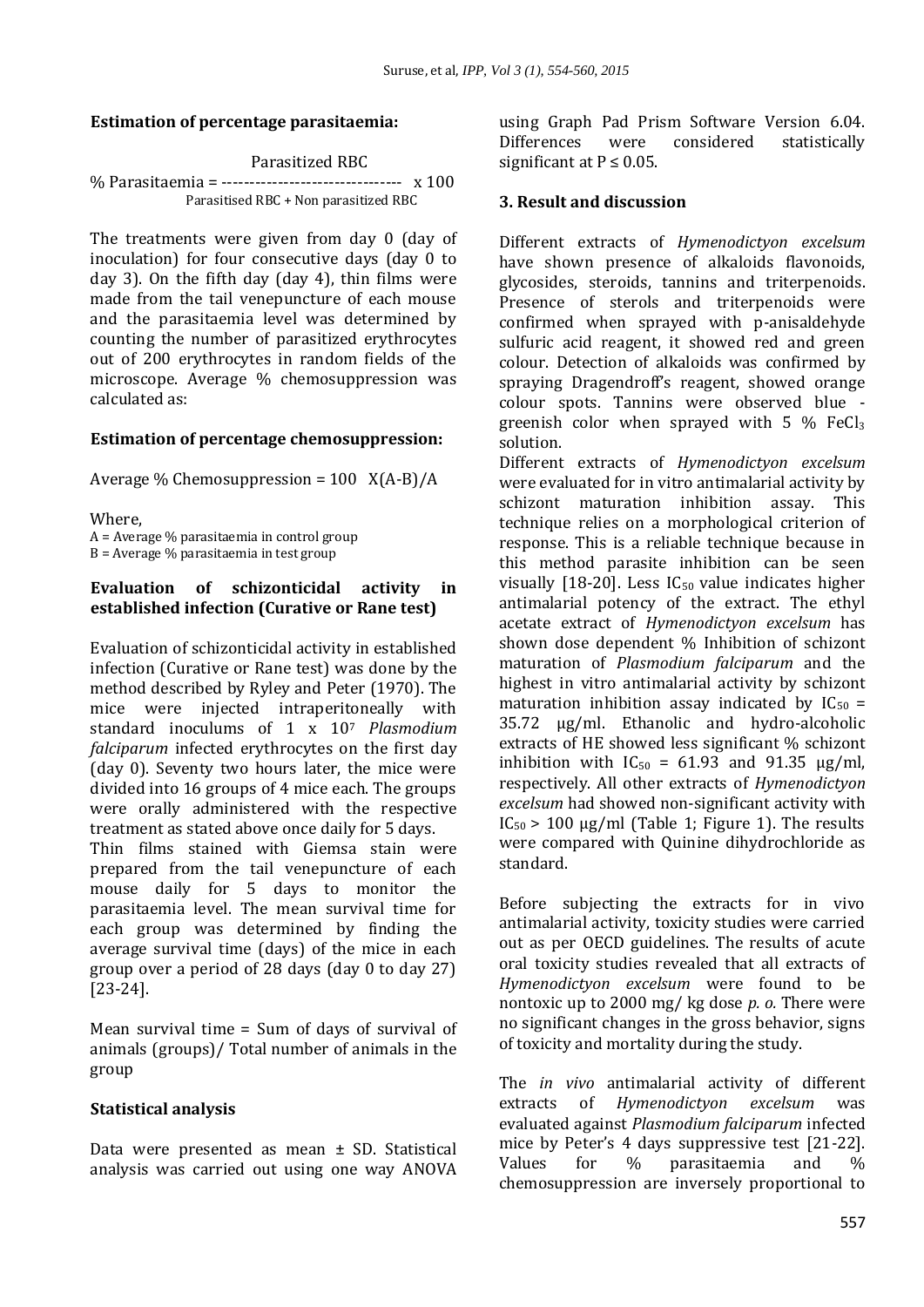### **Estimation of percentage parasitaemia:**

#### Parasitized RBC

```
% Parasitaemia = -------------------------------- x 100
  Parasitised RBC + Non parasitized RBC
```
The treatments were given from day 0 (day of inoculation) for four consecutive days (day 0 to day 3). On the fifth day (day 4), thin films were made from the tail venepuncture of each mouse and the parasitaemia level was determined by counting the number of parasitized erythrocytes out of 200 erythrocytes in random fields of the microscope. Average % chemosuppression was calculated as:

### **Estimation of percentage chemosuppression:**

Average % Chemosuppression =  $100 \text{ X}(A-B)/A$ 

Where, A = Average % parasitaemia in control group B = Average % parasitaemia in test group

### **Evaluation of schizonticidal activity in established infection (Curative or Rane test)**

Evaluation of schizonticidal activity in established infection (Curative or Rane test) was done by the method described by Ryley and Peter (1970). The mice were injected intraperitoneally with standard inoculums of 1 x 10<sup>7</sup> *Plasmodium falciparum* infected erythrocytes on the first day (day 0). Seventy two hours later, the mice were divided into 16 groups of 4 mice each. The groups were orally administered with the respective treatment as stated above once daily for 5 days.

Thin films stained with Giemsa stain were prepared from the tail venepuncture of each mouse daily for 5 days to monitor the parasitaemia level. The mean survival time for each group was determined by finding the average survival time (days) of the mice in each group over a period of 28 days (day 0 to day 27) [23-24].

Mean survival time = Sum of days of survival of animals (groups)/ Total number of animals in the group

### **Statistical analysis**

Data were presented as mean ± SD. Statistical analysis was carried out using one way ANOVA using Graph Pad Prism Software Version 6.04. Differences were considered statistically significant at  $P \leq 0.05$ .

### **3. Result and discussion**

Different extracts of *Hymenodictyon excelsum* have shown presence of alkaloids flavonoids, glycosides, steroids, tannins and triterpenoids. Presence of sterols and triterpenoids were confirmed when sprayed with p-anisaldehyde sulfuric acid reagent, it showed red and green colour. Detection of alkaloids was confirmed by spraying Dragendroff's reagent, showed orange colour spots. Tannins were observed blue greenish color when sprayed with  $5\%$  FeCl<sub>3</sub> solution.

Different extracts of *Hymenodictyon excelsum* were evaluated for in vitro antimalarial activity by schizont maturation inhibition assay. This technique relies on a morphological criterion of response. This is a reliable technique because in this method parasite inhibition can be seen visually [18-20]. Less  $IC_{50}$  value indicates higher antimalarial potency of the extract. The ethyl acetate extract of *Hymenodictyon excelsum* has shown dose dependent % Inhibition of schizont maturation of *Plasmodium falciparum* and the highest in vitro antimalarial activity by schizont maturation inhibition assay indicated by  $IC_{50}$  = 35.72 µg/ml. Ethanolic and hydro-alcoholic extracts of HE showed less significant % schizont inhibition with  $IC_{50} = 61.93$  and 91.35  $\mu$ g/ml, respectively. All other extracts of *Hymenodictyon excelsum* had showed non-significant activity with  $IC_{50}$  > 100  $\mu$ g/ml (Table 1; Figure 1). The results were compared with Quinine dihydrochloride as standard.

Before subjecting the extracts for in vivo antimalarial activity, toxicity studies were carried out as per OECD guidelines. The results of acute oral toxicity studies revealed that all extracts of *Hymenodictyon excelsum* were found to be nontoxic up to 2000 mg/ kg dose *p. o.* There were no significant changes in the gross behavior, signs of toxicity and mortality during the study.

The *in vivo* antimalarial activity of different extracts of *Hymenodictyon excelsum* was evaluated against *Plasmodium falciparum* infected mice by Peter's 4 days suppressive test [21-22]. Values for % parasitaemia and % chemosuppression are inversely proportional to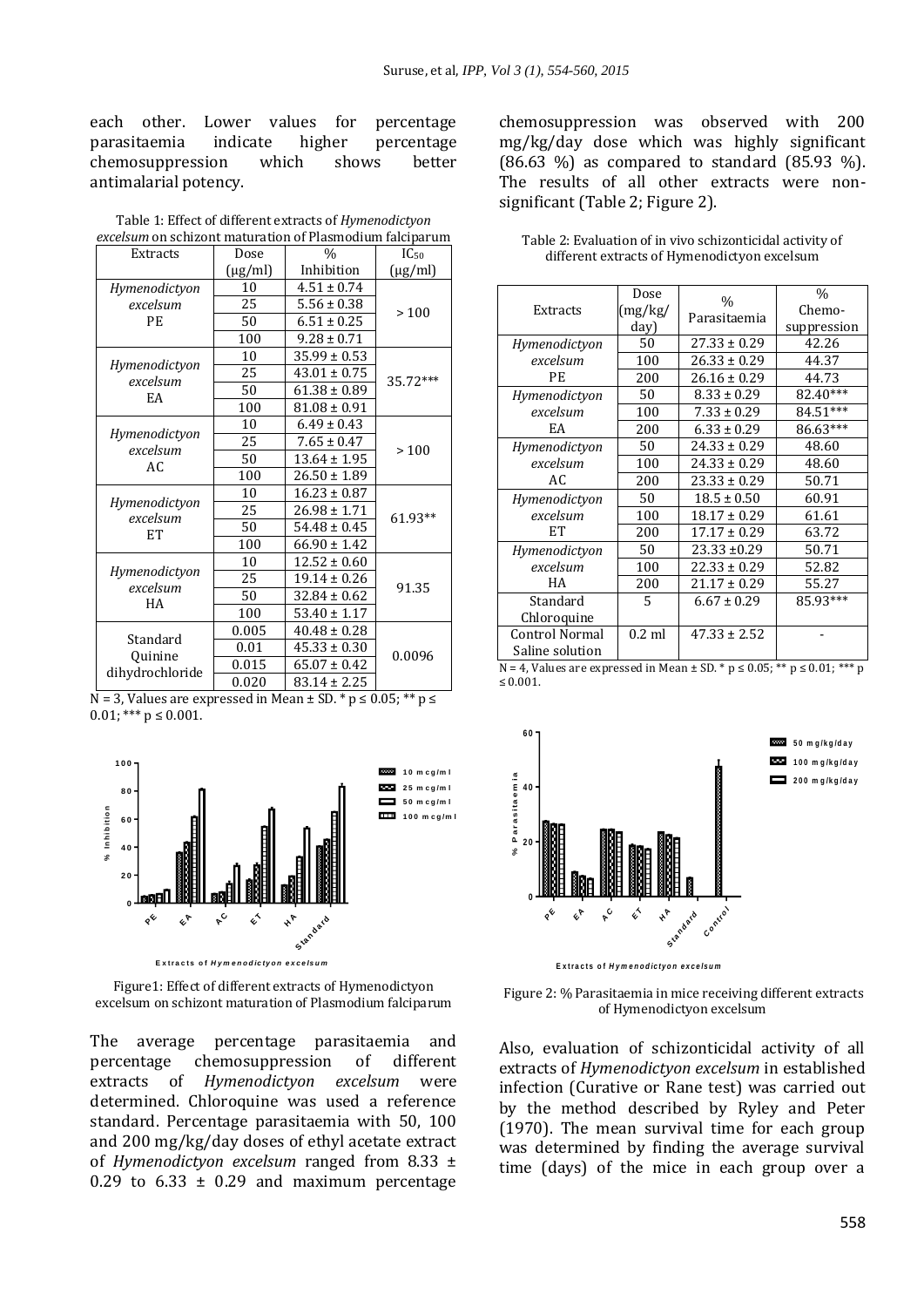each other. Lower values for percentage parasitaemia indicate higher percentage chemosuppression which shows better antimalarial potency.

| excelsum on schizont maturation of Plasmodium falciparum |              |                  |              |  |
|----------------------------------------------------------|--------------|------------------|--------------|--|
| Extracts                                                 | Dose         | $\%$             | $IC_{50}$    |  |
|                                                          | $(\mu g/ml)$ | Inhibition       | $(\mu g/ml)$ |  |
| Hymenodictyon                                            | 10           | $4.51 \pm 0.74$  |              |  |
| excelsum                                                 | 25           | $5.56 \pm 0.38$  | >100         |  |
| <b>PE</b>                                                | 50           | $6.51 \pm 0.25$  |              |  |
|                                                          | 100          | $9.28 \pm 0.71$  |              |  |
| Hymenodictyon<br>excelsum<br>EA                          | 10           | $35.99 \pm 0.53$ |              |  |
|                                                          | 25           | $43.01 \pm 0.75$ | 35.72***     |  |
|                                                          | 50           | $61.38 \pm 0.89$ |              |  |
|                                                          | 100          | $81.08 \pm 0.91$ |              |  |
|                                                          | 10           | $6.49 \pm 0.43$  |              |  |
| Hymenodictyon                                            | 25           | $7.65 \pm 0.47$  | >100         |  |
| excelsum<br>AC.                                          | 50           | $13.64 \pm 1.95$ |              |  |
|                                                          | 100          | $26.50 \pm 1.89$ |              |  |
| Hymenodictyon<br>excelsum<br>ET                          | 10           | $16.23 \pm 0.87$ |              |  |
|                                                          | 25           | 26.98 ± 1.71     | 61.93**      |  |
|                                                          | 50           | $54.48 \pm 0.45$ |              |  |
|                                                          | 100          | $66.90 \pm 1.42$ |              |  |
| Hymenodictyon<br>excelsum<br>HA                          | 10           | $12.52 \pm 0.60$ |              |  |
|                                                          | 25           | $19.14 \pm 0.26$ | 91.35        |  |
|                                                          | 50           | $32.84 \pm 0.62$ |              |  |
|                                                          | 100          | $53.40 \pm 1.17$ |              |  |
| Standard<br>Quinine<br>dihydrochloride                   | 0.005        | $40.48 \pm 0.28$ |              |  |
|                                                          | 0.01         | $45.33 \pm 0.30$ |              |  |
|                                                          | 0.015        | $65.07 \pm 0.42$ | 0.0096       |  |
|                                                          | 0.020        | $83.14 \pm 2.25$ |              |  |

Table 1: Effect of different extracts of *Hymenodictyon* 

 $N = 3$ , Values are expressed in Mean  $\pm$  SD. \* p  $\leq$  0.05; \*\* p  $\leq$  $0.01$ ; \*\*\*  $p \le 0.001$ .



Figure1: Effect of different extracts of Hymenodictyon excelsum on schizont maturation of Plasmodium falciparum

The average percentage parasitaemia and percentage chemosuppression of different extracts of *Hymenodictyon excelsum* were determined. Chloroquine was used a reference standard. Percentage parasitaemia with 50, 100 and 200 mg/kg/day doses of ethyl acetate extract of *Hymenodictyon excelsum* ranged from 8.33 ± 0.29 to  $6.33 \pm 0.29$  and maximum percentage

chemosuppression was observed with 200 mg/kg/day dose which was highly significant (86.63 %) as compared to standard (85.93 %). The results of all other extracts were nonsignificant (Table 2; Figure 2).

| Extracts                                 | Dose<br>(mg/kg/<br>day) | $\%$<br>Parasitaemia | $\frac{0}{0}$<br>Chemo-<br>suppression |
|------------------------------------------|-------------------------|----------------------|----------------------------------------|
| Hymenodictyon                            | 50                      | $27.33 \pm 0.29$     | 42.26                                  |
| excelsum                                 | 100                     | $26.33 \pm 0.29$     | 44.37                                  |
| PE                                       | 200                     | $26.16 \pm 0.29$     | 44.73                                  |
| Hymenodictyon                            | 50                      | $8.33 \pm 0.29$      | 82.40***                               |
| excelsum                                 | 100                     | $7.33 \pm 0.29$      | 84.51***                               |
| EA                                       | 200                     | $6.33 \pm 0.29$      | 86.63***                               |
| Hymenodictyon                            | 50                      | $24.33 \pm 0.29$     | 48.60                                  |
| excelsum                                 | 100                     | $24.33 \pm 0.29$     | 48.60                                  |
| AC.                                      | 200                     | $23.33 \pm 0.29$     | 50.71                                  |
| Hymenodictyon                            | 50                      | $18.5 \pm 0.50$      | 60.91                                  |
| excelsum                                 | 100                     | $18.17 \pm 0.29$     | 61.61                                  |
| <b>ET</b>                                | 200                     | $17.17 \pm 0.29$     | 63.72                                  |
| Hymenodictyon                            | 50                      | $23.33 \pm 0.29$     | 50.71                                  |
| excelsum                                 | 100                     | $22.33 \pm 0.29$     | 52.82                                  |
| HA                                       | 200                     | $21.17 \pm 0.29$     | 55.27                                  |
| Standard                                 | 5                       | $6.67 \pm 0.29$      | 85.93***                               |
| Chloroquine                              |                         |                      |                                        |
| <b>Control Normal</b><br>Saline solution | $0.2$ ml                | $47.33 \pm 2.52$     |                                        |

Table 2: Evaluation of in vivo schizonticidal activity of different extracts of Hymenodictyon excelsum

N = 4, Values are expressed in Mean  $\pm$  SD. \* p  $\leq$  0.05; \*\* p  $\leq$  0.01; \*\*\* p ≤ 0.001.



Extracts of Hymenodictyon excelsum



Also, evaluation of schizonticidal activity of all extracts of *Hymenodictyon excelsum* in established infection (Curative or Rane test) was carried out by the method described by Ryley and Peter (1970). The mean survival time for each group was determined by finding the average survival time (days) of the mice in each group over a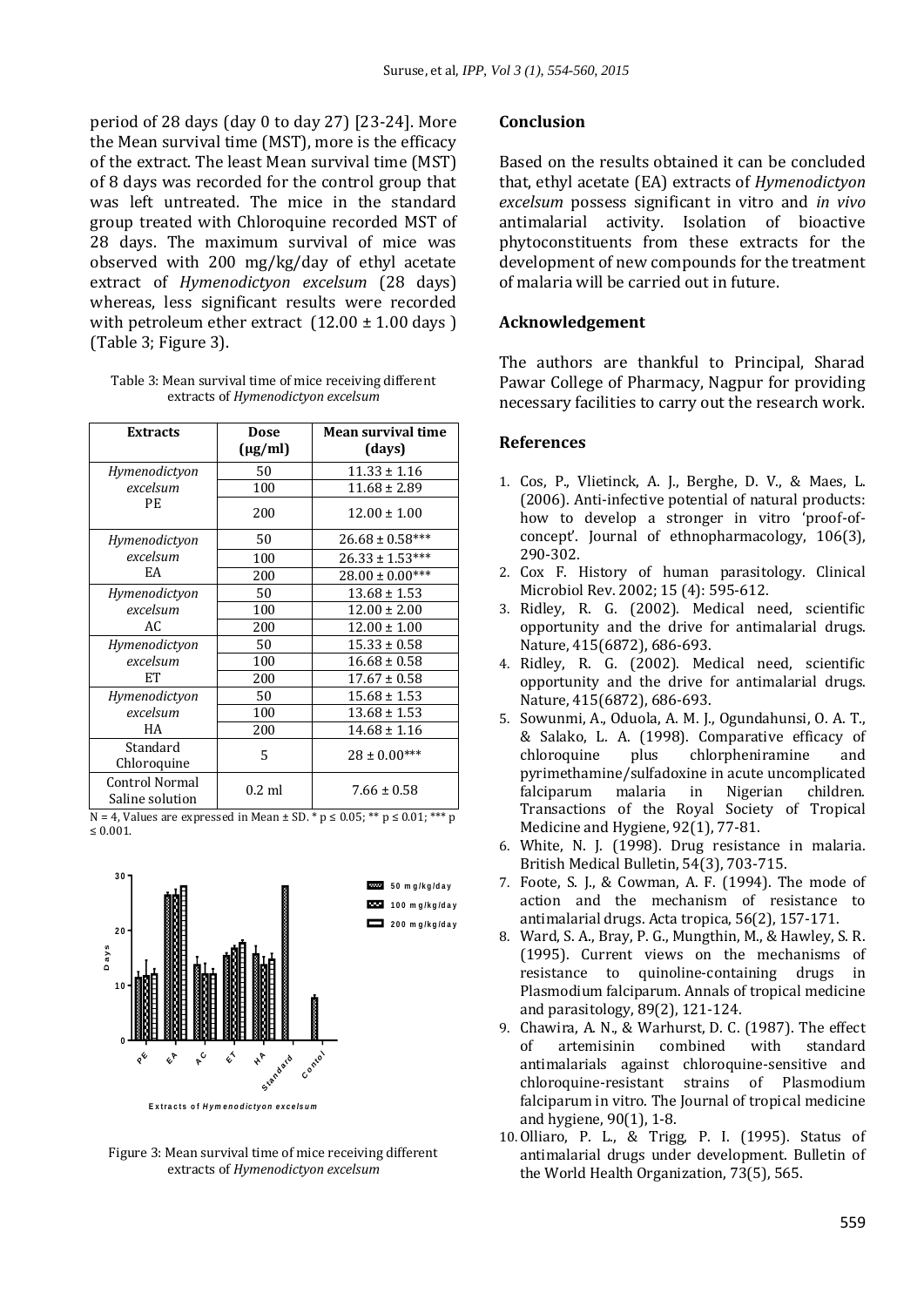period of 28 days (day 0 to day 27) [23-24]. More the Mean survival time (MST), more is the efficacy of the extract. The least Mean survival time (MST) of 8 days was recorded for the control group that was left untreated. The mice in the standard group treated with Chloroquine recorded MST of 28 days. The maximum survival of mice was observed with 200 mg/kg/day of ethyl acetate extract of *Hymenodictyon excelsum* (28 days) whereas, less significant results were recorded with petroleum ether extract  $(12.00 \pm 1.00 \text{ days})$ (Table 3; Figure 3).

Table 3: Mean survival time of mice receiving different extracts of *Hymenodictyon excelsum*

| <b>Extracts</b>                          | <b>Dose</b><br>$(\mu$ g/ml) | Mean survival time<br>(days) |
|------------------------------------------|-----------------------------|------------------------------|
| Hymenodictyon                            | 50                          | $11.33 \pm 1.16$             |
| excelsum                                 | 100                         | $11.68 \pm 2.89$             |
| <b>PE</b>                                | 200                         | $12.00 \pm 1.00$             |
| Hymenodictyon                            | 50                          | $26.68 \pm 0.58***$          |
| excelsum                                 | 100                         | $26.33 \pm 1.53***$          |
| EA                                       | 200                         | $28.00 \pm 0.00$ ***         |
| Hymenodictyon                            | 50                          | $13.68 \pm 1.53$             |
| excelsum                                 | 100                         | $12.00 \pm 2.00$             |
| AC.                                      | 200                         | $12.00 \pm 1.00$             |
| Hymenodictyon                            | 50                          | $15.33 \pm 0.58$             |
| excelsum                                 | 100                         | $16.68 \pm 0.58$             |
| <b>ET</b>                                | 200                         | $17.67 \pm 0.58$             |
| Hymenodictyon                            | 50                          | $15.68 \pm 1.53$             |
| excelsum                                 | 100                         | $13.68 \pm 1.53$             |
| HA                                       | 200                         | $14.68 \pm 1.16$             |
| Standard<br>Chloroquine                  | 5                           | $28 \pm 0.00***$             |
| <b>Control Normal</b><br>Saline solution | $0.2$ ml                    | $7.66 \pm 0.58$              |

N = 4. Values are expressed in Mean  $\pm$  SD. \* p  $\leq$  0.05; \*\* p  $\leq$  0.01; \*\*\* p ≤ 0.001.



Figure 3: Mean survival time of mice receiving different extracts of *Hymenodictyon excelsum*

#### **Conclusion**

Based on the results obtained it can be concluded that, ethyl acetate (EA) extracts of *Hymenodictyon excelsum* possess significant in vitro and *in vivo*  antimalarial activity. Isolation of bioactive phytoconstituents from these extracts for the development of new compounds for the treatment of malaria will be carried out in future.

### **Acknowledgement**

The authors are thankful to Principal, Sharad Pawar College of Pharmacy, Nagpur for providing necessary facilities to carry out the research work.

#### **References**

- 1. Cos, P., Vlietinck, A. J., Berghe, D. V., & Maes, L. (2006). Anti-infective potential of natural products: how to develop a stronger in vitro 'proof-ofconcept'. Journal of ethnopharmacology, 106(3), 290-302.
- 2. Cox F. History of human parasitology. Clinical Microbiol Rev. 2002; 15 (4): 595-612.
- 3. Ridley, R. G. (2002). Medical need, scientific opportunity and the drive for antimalarial drugs. Nature, 415(6872), 686-693.
- 4. Ridley, R. G. (2002). Medical need, scientific opportunity and the drive for antimalarial drugs. Nature, 415(6872), 686-693.
- 5. Sowunmi, A., Oduola, A. M. J., Ogundahunsi, O. A. T., & Salako, L. A. (1998). Comparative efficacy of chloroquine plus chlorpheniramine and pyrimethamine/sulfadoxine in acute uncomplicated falciparum malaria in Nigerian children. Transactions of the Royal Society of Tropical Medicine and Hygiene, 92(1), 77-81.
- 6. White, N. J. (1998). Drug resistance in malaria. British Medical Bulletin, 54(3), 703-715.
- 7. Foote, S. J., & Cowman, A. F. (1994). The mode of action and the mechanism of resistance to antimalarial drugs. Acta tropica, 56(2), 157-171.
- 8. Ward, S. A., Bray, P. G., Mungthin, M., & Hawley, S. R. (1995). Current views on the mechanisms of resistance to quinoline-containing drugs in Plasmodium falciparum. Annals of tropical medicine and parasitology, 89(2), 121-124.
- 9. Chawira, A. N., & Warhurst, D. C. (1987). The effect of artemisinin combined with standard antimalarials against chloroquine-sensitive and chloroquine-resistant strains of Plasmodium falciparum in vitro. The Journal of tropical medicine and hygiene, 90(1), 1-8.
- 10.Olliaro, P. L., & Trigg, P. I. (1995). Status of antimalarial drugs under development. Bulletin of the World Health Organization, 73(5), 565.